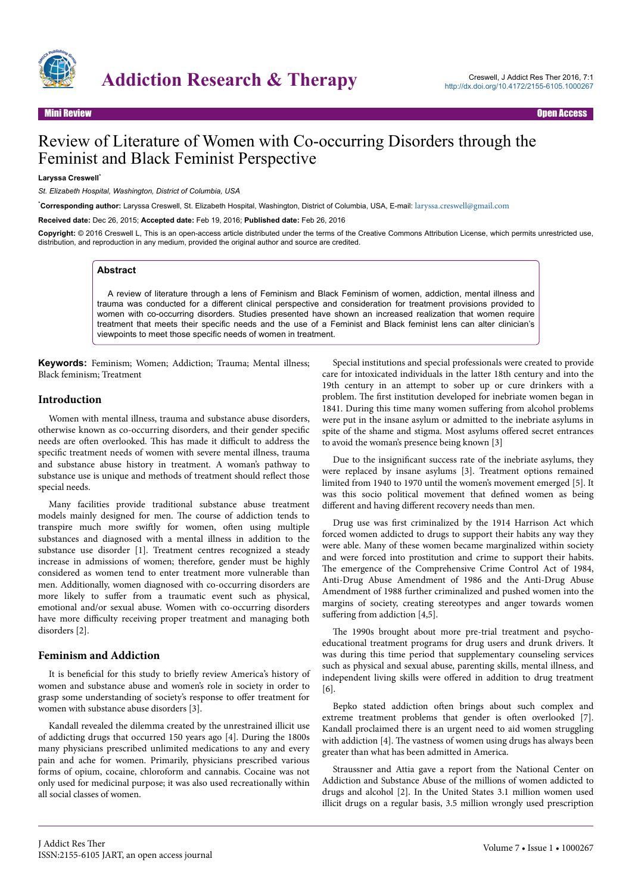

# Review of Literature of Women with Co-occurring Disorders through the Feminist and Black Feminist Perspective

#### **Laryssa Creswell**\*

*St. Elizabeth Hospital, Washington, District of Columbia, USA*

\***Corresponding author:** Laryssa Creswell, St. Elizabeth Hospital, Washington, District of Columbia, USA, E-mail: [laryssa.creswell@gmail.com](mailto:laryssa.creswell@gmail.com)

**Received date:** Dec 26, 2015; **Accepted date:** Feb 19, 2016; **Published date:** Feb 26, 2016

**Copyright:** © 2016 Creswell L, This is an open-access article distributed under the terms of the Creative Commons Attribution License, which permits unrestricted use, distribution, and reproduction in any medium, provided the original author and source are credited.

#### **Abstract**

A review of literature through a lens of Feminism and Black Feminism of women, addiction, mental illness and trauma was conducted for a different clinical perspective and consideration for treatment provisions provided to women with co-occurring disorders. Studies presented have shown an increased realization that women require treatment that meets their specific needs and the use of a Feminist and Black feminist lens can alter clinician's viewpoints to meet those specific needs of women in treatment.

**Keywords:** Feminism; Women; Addiction; Trauma; Mental illness; Black feminism; Treatment

## **Introduction**

Women with mental illness, trauma and substance abuse disorders, otherwise known as co-occurring disorders, and their gender specific needs are often overlooked. This has made it difficult to address the specific treatment needs of women with severe mental illness, trauma and substance abuse history in treatment. A woman's pathway to substance use is unique and methods of treatment should reflect those special needs.

Many facilities provide traditional substance abuse treatment models mainly designed for men. Нe course of addiction tends to transpire much more swiftly for women, often using multiple substances and diagnosed with a mental illness in addition to the substance use disorder [1]. Treatment centres recognized a steady increase in admissions of women; therefore, gender must be highly considered as women tend to enter treatment more vulnerable than men. Additionally, women diagnosed with co-occurring disorders are more likely to suffer from a traumatic event such as physical, emotional and/or sexual abuse. Women with co-occurring disorders have more difficulty receiving proper treatment and managing both disorders [2].

## **Feminism and Addiction**

It is beneficial for this study to briefly review America's history of women and substance abuse and women's role in society in order to grasp some understanding of society's response to offer treatment for women with substance abuse disorders [3].

Kandall revealed the dilemma created by the unrestrained illicit use of addicting drugs that occurred 150 years ago [4]. During the 1800s many physicians prescribed unlimited medications to any and every pain and ache for women. Primarily, physicians prescribed various forms of opium, cocaine, chloroform and cannabis. Cocaine was not only used for medicinal purpose; it was also used recreationally within all social classes of women.

Special institutions and special professionals were created to provide care for intoxicated individuals in the latter 18th century and into the 19th century in an attempt to sober up or cure drinkers with a problem. Нe first institution developed for inebriate women began in 1841. During this time many women suffering from alcohol problems were put in the insane asylum or admitted to the inebriate asylums in spite of the shame and stigma. Most asylums offered secret entrances to avoid the woman's presence being known [3]

Due to the insignificant success rate of the inebriate asylums, they were replaced by insane asylums [3]. Treatment options remained limited from 1940 to 1970 until the women's movement emerged [5]. It was this socio political movement that defined women as being different and having different recovery needs than men.

Drug use was first criminalized by the 1914 Harrison Act which forced women addicted to drugs to support their habits any way they were able. Many of these women became marginalized within society and were forced into prostitution and crime to support their habits. The emergence of the Comprehensive Crime Control Act of 1984, Anti-Drug Abuse Amendment of 1986 and the Anti-Drug Abuse Amendment of 1988 further criminalized and pushed women into the margins of society, creating stereotypes and anger towards women suffering from addiction  $[4,5]$ .

The 1990s brought about more pre-trial treatment and psychoeducational treatment programs for drug users and drunk drivers. It was during this time period that supplementary counseling services such as physical and sexual abuse, parenting skills, mental illness, and independent living skills were offered in addition to drug treatment [6].

Bepko stated addiction often brings about such complex and extreme treatment problems that gender is often overlooked [7]. Kandall proclaimed there is an urgent need to aid women struggling with addiction [4]. Нe vastness of women using drugs has always been greater than what has been admitted in America.

Straussner and Attia gave a report from the National Center on Addiction and Substance Abuse of the millions of women addicted to drugs and alcohol [2]. In the United States 3.1 million women used illicit drugs on a regular basis, 3.5 million wrongly used prescription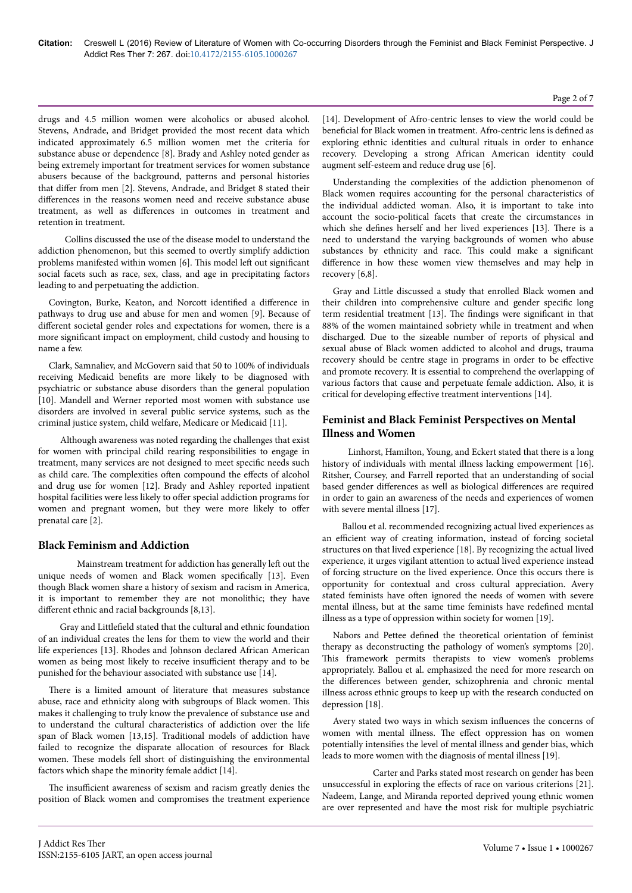drugs and 4.5 million women were alcoholics or abused alcohol. Stevens, Andrade, and Bridget provided the most recent data which indicated approximately 6.5 million women met the criteria for substance abuse or dependence [8]. Brady and Ashley noted gender as being extremely important for treatment services for women substance abusers because of the background, patterns and personal histories that differ from men [2]. Stevens, Andrade, and Bridget 8 stated their differences in the reasons women need and receive substance abuse treatment, as well as differences in outcomes in treatment and retention in treatment.

Collins discussed the use of the disease model to understand the addiction phenomenon, but this seemed to overtly simplify addiction problems manifested within women [6]. This model left out significant social facets such as race, sex, class, and age in precipitating factors leading to and perpetuating the addiction.

Covington, Burke, Keaton, and Norcott identified a difference in pathways to drug use and abuse for men and women [9]. Because of different societal gender roles and expectations for women, there is a more significant impact on employment, child custody and housing to name a few.

Clark, Samnaliev, and McGovern said that 50 to 100% of individuals receiving Medicaid benefits are more likely to be diagnosed with psychiatric or substance abuse disorders than the general population [10]. Mandell and Werner reported most women with substance use disorders are involved in several public service systems, such as the criminal justice system, child welfare, Medicare or Medicaid [11].

Although awareness was noted regarding the challenges that exist for women with principal child rearing responsibilities to engage in treatment, many services are not designed to meet specific needs such as child care. The complexities often compound the effects of alcohol and drug use for women [12]. Brady and Ashley reported inpatient hospital facilities were less likely to offer special addiction programs for women and pregnant women, but they were more likely to offer prenatal care [2].

## **Black Feminism and Addiction**

Mainstream treatment for addiction has generally left out the unique needs of women and Black women specifically [13]. Even though Black women share a history of sexism and racism in America, it is important to remember they are not monolithic; they have different ethnic and racial backgrounds [8,13].

Gray and Littlefield stated that the cultural and ethnic foundation of an individual creates the lens for them to view the world and their life experiences [13]. Rhodes and Johnson declared African American women as being most likely to receive insufficient therapy and to be punished for the behaviour associated with substance use [14].

There is a limited amount of literature that measures substance abuse, race and ethnicity along with subgroups of Black women. Нis makes it challenging to truly know the prevalence of substance use and to understand the cultural characteristics of addiction over the life span of Black women [13,15]. Traditional models of addiction have failed to recognize the disparate allocation of resources for Black women. Нese models fell short of distinguishing the environmental factors which shape the minority female addict [14].

The insufficient awareness of sexism and racism greatly denies the position of Black women and compromises the treatment experience

[14]. Development of Afro-centric lenses to view the world could be beneficial for Black women in treatment. Afro-centric lens is defined as exploring ethnic identities and cultural rituals in order to enhance recovery. Developing a strong African American identity could augment self-esteem and reduce drug use [6].

Understanding the complexities of the addiction phenomenon of Black women requires accounting for the personal characteristics of the individual addicted woman. Also, it is important to take into account the socio-political facets that create the circumstances in which she defines herself and her lived experiences [13]. Нere is a need to understand the varying backgrounds of women who abuse substances by ethnicity and race. Нis could make a significant difference in how these women view themselves and may help in recovery [6,8].

Gray and Little discussed a study that enrolled Black women and their children into comprehensive culture and gender specific long term residential treatment [13]. Нe findings were significant in that 88% of the women maintained sobriety while in treatment and when discharged. Due to the sizeable number of reports of physical and sexual abuse of Black women addicted to alcohol and drugs, trauma recovery should be centre stage in programs in order to be effective and promote recovery. It is essential to comprehend the overlapping of various factors that cause and perpetuate female addiction. Also, it is critical for developing effective treatment interventions [14].

# **Feminist and Black Feminist Perspectives on Mental Illness and Women**

Linhorst, Hamilton, Young, and Eckert stated that there is a long history of individuals with mental illness lacking empowerment [16]. Ritsher, Coursey, and Farrell reported that an understanding of social based gender differences as well as biological differences are required in order to gain an awareness of the needs and experiences of women with severe mental illness [17].

Ballou et al. recommended recognizing actual lived experiences as an efficient way of creating information, instead of forcing societal structures on that lived experience [18]. By recognizing the actual lived experience, it urges vigilant attention to actual lived experience instead of forcing structure on the lived experience. Once this occurs there is opportunity for contextual and cross cultural appreciation. Avery stated feminists have often ignored the needs of women with severe mental illness, but at the same time feminists have redefined mental illness as a type of oppression within society for women [19].

Nabors and Pettee defined the theoretical orientation of feminist therapy as deconstructing the pathology of women's symptoms [20]. This framework permits therapists to view women's problems appropriately. Ballou et al. emphasized the need for more research on the differences between gender, schizophrenia and chronic mental illness across ethnic groups to keep up with the research conducted on depression [18].

Avery stated two ways in which sexism influences the concerns of women with mental illness. The effect oppression has on women potentially intensifies the level of mental illness and gender bias, which leads to more women with the diagnosis of mental illness [19].

Carter and Parks stated most research on gender has been unsuccessful in exploring the effects of race on various criterions [21]. Nadeem, Lange, and Miranda reported deprived young ethnic women are over represented and have the most risk for multiple psychiatric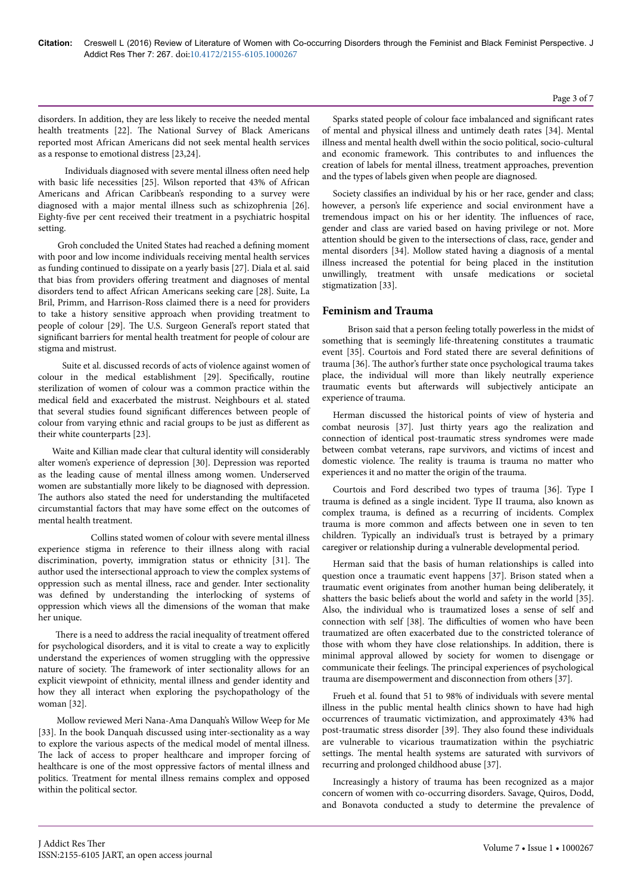disorders. In addition, they are less likely to receive the needed mental health treatments [22]. The National Survey of Black Americans reported most African Americans did not seek mental health services as a response to emotional distress [23,24].

Individuals diagnosed with severe mental illness often need help with basic life necessities [25]. Wilson reported that 43% of African Americans and African Caribbean's responding to a survey were diagnosed with a major mental illness such as schizophrenia [26]. Eighty-five per cent received their treatment in a psychiatric hospital setting.

Groh concluded the United States had reached a defining moment with poor and low income individuals receiving mental health services as funding continued to dissipate on a yearly basis [27]. Diala et al. said that bias from providers offering treatment and diagnoses of mental disorders tend to affect African Americans seeking care [28]. Suite, La Bril, Primm, and Harrison-Ross claimed there is a need for providers to take a history sensitive approach when providing treatment to people of colour [29]. Нe U.S. Surgeon General's report stated that significant barriers for mental health treatment for people of colour are stigma and mistrust.

Suite et al. discussed records of acts of violence against women of colour in the medical establishment [29]. Specifically, routine sterilization of women of colour was a common practice within the medical field and exacerbated the mistrust. Neighbours et al. stated that several studies found significant differences between people of colour from varying ethnic and racial groups to be just as different as their white counterparts [23].

Waite and Killian made clear that cultural identity will considerably alter women's experience of depression [30]. Depression was reported as the leading cause of mental illness among women. Underserved women are substantially more likely to be diagnosed with depression. The authors also stated the need for understanding the multifaceted circumstantial factors that may have some effect on the outcomes of mental health treatment.

Collins stated women of colour with severe mental illness experience stigma in reference to their illness along with racial discrimination, poverty, immigration status or ethnicity [31]. Нe author used the intersectional approach to view the complex systems of oppression such as mental illness, race and gender. Inter sectionality was defined by understanding the interlocking of systems of oppression which views all the dimensions of the woman that make her unique.

There is a need to address the racial inequality of treatment offered for psychological disorders, and it is vital to create a way to explicitly understand the experiences of women struggling with the oppressive nature of society. Нe framework of inter sectionality allows for an explicit viewpoint of ethnicity, mental illness and gender identity and how they all interact when exploring the psychopathology of the woman [32].

Mollow reviewed Meri Nana-Ama Danquah's Willow Weep for Me [33]. In the book Danquah discussed using inter-sectionality as a way to explore the various aspects of the medical model of mental illness. The lack of access to proper healthcare and improper forcing of healthcare is one of the most oppressive factors of mental illness and politics. Treatment for mental illness remains complex and opposed within the political sector.

Sparks stated people of colour face imbalanced and significant rates of mental and physical illness and untimely death rates [34]. Mental illness and mental health dwell within the socio political, socio-cultural and economic framework. Нis contributes to and influences the creation of labels for mental illness, treatment approaches, prevention and the types of labels given when people are diagnosed.

Society classifies an individual by his or her race, gender and class; however, a person's life experience and social environment have a tremendous impact on his or her identity. Нe influences of race, gender and class are varied based on having privilege or not. More attention should be given to the intersections of class, race, gender and mental disorders [34]. Mollow stated having a diagnosis of a mental illness increased the potential for being placed in the institution unwillingly, treatment with unsafe medications or societal stigmatization [33].

## **Feminism and Trauma**

Brison said that a person feeling totally powerless in the midst of something that is seemingly life-threatening constitutes a traumatic event [35]. Courtois and Ford stated there are several definitions of trauma [36]. Нe author's further state once psychological trauma takes place, the individual will more than likely neutrally experience traumatic events but afterwards will subjectively anticipate an experience of trauma.

Herman discussed the historical points of view of hysteria and combat neurosis [37]. Just thirty years ago the realization and connection of identical post-traumatic stress syndromes were made between combat veterans, rape survivors, and victims of incest and domestic violence. Нe reality is trauma is trauma no matter who experiences it and no matter the origin of the trauma.

Courtois and Ford described two types of trauma [36]. Type I trauma is defined as a single incident. Type II trauma, also known as complex trauma, is defined as a recurring of incidents. Complex trauma is more common and affects between one in seven to ten children. Typically an individual's trust is betrayed by a primary caregiver or relationship during a vulnerable developmental period.

Herman said that the basis of human relationships is called into question once a traumatic event happens [37]. Brison stated when a traumatic event originates from another human being deliberately, it shatters the basic beliefs about the world and safety in the world [35]. Also, the individual who is traumatized loses a sense of self and connection with self [38]. The difficulties of women who have been traumatized are often exacerbated due to the constricted tolerance of those with whom they have close relationships. In addition, there is minimal approval allowed by society for women to disengage or communicate their feelings. Нe principal experiences of psychological trauma are disempowerment and disconnection from others [37].

Frueh et al. found that 51 to 98% of individuals with severe mental illness in the public mental health clinics shown to have had high occurrences of traumatic victimization, and approximately 43% had post-traumatic stress disorder [39]. They also found these individuals are vulnerable to vicarious traumatization within the psychiatric settings. Нe mental health systems are saturated with survivors of recurring and prolonged childhood abuse [37].

Increasingly a history of trauma has been recognized as a major concern of women with co-occurring disorders. Savage, Quiros, Dodd, and Bonavota conducted a study to determine the prevalence of

#### Page 3 of 7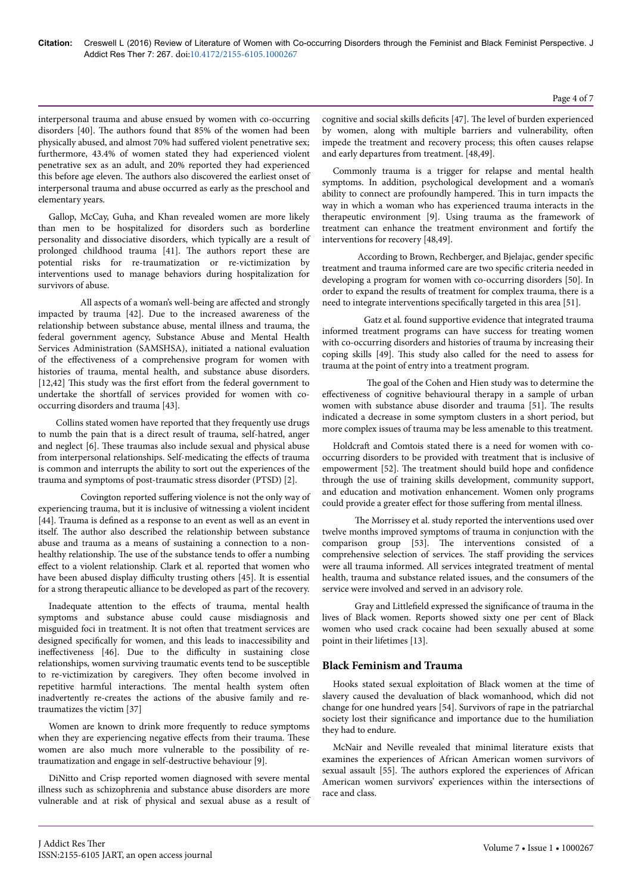interpersonal trauma and abuse ensued by women with co-occurring disorders [40]. Нe authors found that 85% of the women had been physically abused, and almost 70% had suffered violent penetrative sex; furthermore, 43.4% of women stated they had experienced violent penetrative sex as an adult, and 20% reported they had experienced this before age eleven. Нe authors also discovered the earliest onset of interpersonal trauma and abuse occurred as early as the preschool and elementary years.

Gallop, McCay, Guha, and Khan revealed women are more likely than men to be hospitalized for disorders such as borderline personality and dissociative disorders, which typically are a result of prolonged childhood trauma [41]. Нe authors report these are potential risks for re-traumatization or re-victimization by interventions used to manage behaviors during hospitalization for survivors of abuse.

All aspects of a woman's well-being are affected and strongly impacted by trauma [42]. Due to the increased awareness of the relationship between substance abuse, mental illness and trauma, the federal government agency, Substance Abuse and Mental Health Services Administration (SAMSHSA), initiated a national evaluation of the effectiveness of a comprehensive program for women with histories of trauma, mental health, and substance abuse disorders.  $[12,42]$  This study was the first effort from the federal government to undertake the shortfall of services provided for women with cooccurring disorders and trauma [43].

Collins stated women have reported that they frequently use drugs to numb the pain that is a direct result of trauma, self-hatred, anger and neglect [6]. Нese traumas also include sexual and physical abuse from interpersonal relationships. Self-medicating the effects of trauma is common and interrupts the ability to sort out the experiences of the trauma and symptoms of post-traumatic stress disorder (PTSD) [2].

Covington reported suffering violence is not the only way of experiencing trauma, but it is inclusive of witnessing a violent incident [44]. Trauma is defined as a response to an event as well as an event in itself. Нe author also described the relationship between substance abuse and trauma as a means of sustaining a connection to a nonhealthy relationship. The use of the substance tends to offer a numbing effect to a violent relationship. Clark et al. reported that women who have been abused display difficulty trusting others [45]. It is essential for a strong therapeutic alliance to be developed as part of the recovery.

Inadequate attention to the effects of trauma, mental health symptoms and substance abuse could cause misdiagnosis and misguided foci in treatment. It is not often that treatment services are designed specifically for women, and this leads to inaccessibility and  $in$ effectiveness  $[46]$ . Due to the difficulty in sustaining close relationships, women surviving traumatic events tend to be susceptible to re-victimization by caregivers. They often become involved in repetitive harmful interactions. The mental health system often inadvertently re-creates the actions of the abusive family and retraumatizes the victim [37]

Women are known to drink more frequently to reduce symptoms when they are experiencing negative effects from their trauma. These women are also much more vulnerable to the possibility of retraumatization and engage in self-destructive behaviour [9].

DiNitto and Crisp reported women diagnosed with severe mental illness such as schizophrenia and substance abuse disorders are more vulnerable and at risk of physical and sexual abuse as a result of cognitive and social skills deficits [47]. Нe level of burden experienced by women, along with multiple barriers and vulnerability, often impede the treatment and recovery process; this often causes relapse and early departures from treatment. [48,49].

Commonly trauma is a trigger for relapse and mental health symptoms. In addition, psychological development and a woman's ability to connect are profoundly hampered. Нis in turn impacts the way in which a woman who has experienced trauma interacts in the therapeutic environment [9]. Using trauma as the framework of treatment can enhance the treatment environment and fortify the interventions for recovery [48,49].

According to Brown, Rechberger, and Bjelajac, gender specific treatment and trauma informed care are two specific criteria needed in developing a program for women with co-occurring disorders [50]. In order to expand the results of treatment for complex trauma, there is a need to integrate interventions specifically targeted in this area [51].

Gatz et al. found supportive evidence that integrated trauma informed treatment programs can have success for treating women with co-occurring disorders and histories of trauma by increasing their coping skills [49]. Нis study also called for the need to assess for trauma at the point of entry into a treatment program.

The goal of the Cohen and Hien study was to determine the effectiveness of cognitive behavioural therapy in a sample of urban women with substance abuse disorder and trauma [51]. The results indicated a decrease in some symptom clusters in a short period, but more complex issues of trauma may be less amenable to this treatment.

Holdcraft and Comtois stated there is a need for women with cooccurring disorders to be provided with treatment that is inclusive of empowerment [52]. Нe treatment should build hope and confidence through the use of training skills development, community support, and education and motivation enhancement. Women only programs could provide a greater effect for those suffering from mental illness.

The Morrissey et al. study reported the interventions used over twelve months improved symptoms of trauma in conjunction with the comparison group [53]. Нe interventions consisted of a comprehensive selection of services. The staff providing the services were all trauma informed. All services integrated treatment of mental health, trauma and substance related issues, and the consumers of the service were involved and served in an advisory role.

Gray and Littlefield expressed the significance of trauma in the lives of Black women. Reports showed sixty one per cent of Black women who used crack cocaine had been sexually abused at some point in their lifetimes [13].

## **Black Feminism and Trauma**

Hooks stated sexual exploitation of Black women at the time of slavery caused the devaluation of black womanhood, which did not change for one hundred years [54]. Survivors of rape in the patriarchal society lost their significance and importance due to the humiliation they had to endure.

McNair and Neville revealed that minimal literature exists that examines the experiences of African American women survivors of sexual assault [55]. Нe authors explored the experiences of African American women survivors' experiences within the intersections of race and class.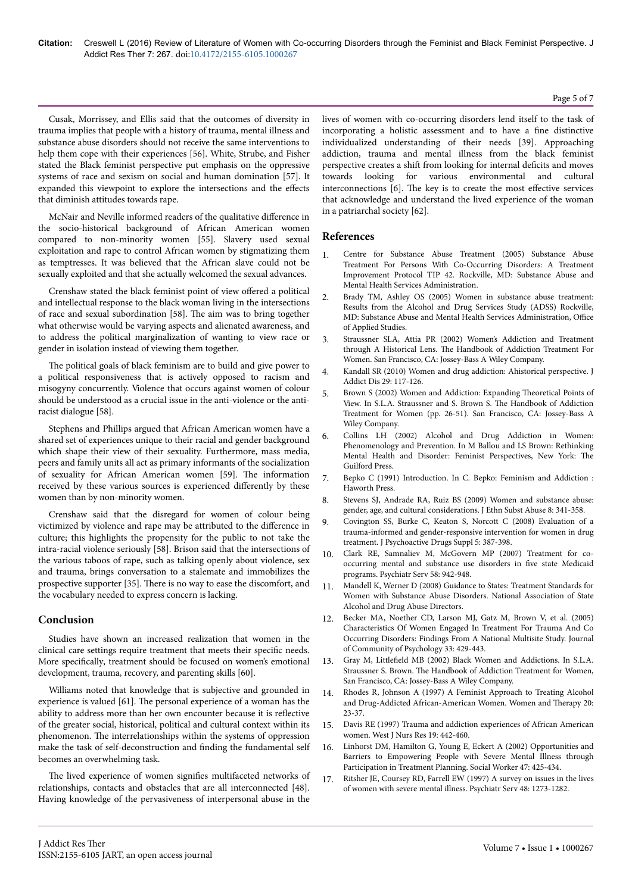#### Page 5 of 7

Cusak, Morrissey, and Ellis said that the outcomes of diversity in trauma implies that people with a history of trauma, mental illness and substance abuse disorders should not receive the same interventions to help them cope with their experiences [56]. White, Strube, and Fisher stated the Black feminist perspective put emphasis on the oppressive systems of race and sexism on social and human domination [57]. It expanded this viewpoint to explore the intersections and the effects that diminish attitudes towards rape.

McNair and Neville informed readers of the qualitative difference in the socio-historical background of African American women compared to non-minority women [55]. Slavery used sexual exploitation and rape to control African women by stigmatizing them as temptresses. It was believed that the African slave could not be sexually exploited and that she actually welcomed the sexual advances.

Crenshaw stated the black feminist point of view offered a political and intellectual response to the black woman living in the intersections of race and sexual subordination [58]. Нe aim was to bring together what otherwise would be varying aspects and alienated awareness, and to address the political marginalization of wanting to view race or gender in isolation instead of viewing them together.

The political goals of black feminism are to build and give power to a political responsiveness that is actively opposed to racism and misogyny concurrently. Violence that occurs against women of colour should be understood as a crucial issue in the anti-violence or the antiracist dialogue [58].

Stephens and Phillips argued that African American women have a shared set of experiences unique to their racial and gender background which shape their view of their sexuality. Furthermore, mass media, peers and family units all act as primary informants of the socialization of sexuality for African American women [59]. Нe information received by these various sources is experienced differently by these women than by non-minority women.

Crenshaw said that the disregard for women of colour being victimized by violence and rape may be attributed to the difference in culture; this highlights the propensity for the public to not take the intra-racial violence seriously [58]. Brison said that the intersections of the various taboos of rape, such as talking openly about violence, sex and trauma, brings conversation to a stalemate and immobilizes the prospective supporter [35]. Нere is no way to ease the discomfort, and the vocabulary needed to express concern is lacking.

## **Conclusion**

Studies have shown an increased realization that women in the clinical care settings require treatment that meets their specific needs. More specifically, treatment should be focused on women's emotional development, trauma, recovery, and parenting skills [60].

Williams noted that knowledge that is subjective and grounded in experience is valued [61]. Нe personal experience of a woman has the ability to address more than her own encounter because it is reflective of the greater social, historical, political and cultural context within its phenomenon. Нe interrelationships within the systems of oppression make the task of self-deconstruction and finding the fundamental self becomes an overwhelming task.

The lived experience of women signifies multifaceted networks of relationships, contacts and obstacles that are all interconnected [48]. Having knowledge of the pervasiveness of interpersonal abuse in the

lives of women with co-occurring disorders lend itself to the task of incorporating a holistic assessment and to have a fine distinctive individualized understanding of their needs [39]. Approaching addiction, trauma and mental illness from the black feminist perspective creates a shift from looking for internal deficits and moves towards looking for various environmental and cultural interconnections  $[6]$ . The key is to create the most effective services that acknowledge and understand the lived experience of the woman in a patriarchal society [62].

#### **References**

- 1. [Centre for Substance Abuse Treatment \(2005\) Substance Abuse](http://www.ncbi.nlm.nih.gov/books/NBK64197/) [Treatment For Persons With Co-Occurring Disorders: A Treatment](http://www.ncbi.nlm.nih.gov/books/NBK64197/) [Improvement Protocol TIP 42. Rockville, MD: Substance Abuse and](http://www.ncbi.nlm.nih.gov/books/NBK64197/) [Mental Health Services Administration.](http://www.ncbi.nlm.nih.gov/books/NBK64197/)
- 2. [Brady TM, Ashley OS \(2005\) Women in substance abuse treatment:](https://www.researchgate.net/publication/241444579_Women_in_Substance_Abuse_Treatment_Results_from_the_Alcohol_and_Drug_Services_Study_ADSS) [Results from the Alcohol and Drug Services Study \(ADSS\) Rockville,](https://www.researchgate.net/publication/241444579_Women_in_Substance_Abuse_Treatment_Results_from_the_Alcohol_and_Drug_Services_Study_ADSS) [MD: Substance Abuse and Mental Health Services Administration,](https://www.researchgate.net/publication/241444579_Women_in_Substance_Abuse_Treatment_Results_from_the_Alcohol_and_Drug_Services_Study_ADSS) Office [of Applied Studies.](https://www.researchgate.net/publication/241444579_Women_in_Substance_Abuse_Treatment_Results_from_the_Alcohol_and_Drug_Services_Study_ADSS)
- 3. Straussner SLA, Attia PR (2002) Women's Addiction and Treatment through A Historical Lens. Нe Handbook of Addiction Treatment For Women. San Francisco, CA: Jossey-Bass A Wiley Company.
- 4. [Kandall SR \(2010\) Women and drug addiction: Ahistorical perspective. J](http://www.ncbi.nlm.nih.gov/pubmed/20407971) [Addict Dis 29: 117-126.](http://www.ncbi.nlm.nih.gov/pubmed/20407971)
- 5. Brown S (2002) Women and Addiction: Expanding Нeoretical Points of View. In S.L.A. Straussner and S. Brown S. Нe Handbook of Addiction Treatment for Women (pp. 26-51). San Francisco, CA: Jossey-Bass A Wiley Company.
- 6. [Collins LH \(2002\) Alcohol and Drug Addiction in Women:](http://www.lasalle.edu/~collins/) [Phenomenology and Prevention. In M Ballou and LS Brown: Rethinking](http://www.lasalle.edu/~collins/) [Mental Health and Disorder: Feminist Perspectives, New York:](http://www.lasalle.edu/~collins/) Нe [Guilford Press.](http://www.lasalle.edu/~collins/)
- 7. Bepko C (1991) Introduction. In C. Bepko: Feminism and Addiction : Haworth Press.
- 8. [Stevens SJ, Andrade RA, Ruiz BS \(2009\) Women and substance abuse:](http://www.ncbi.nlm.nih.gov/pubmed/25985074) [gender, age, and cultural considerations. J Ethn Subst Abuse 8: 341-358.](http://www.ncbi.nlm.nih.gov/pubmed/25985074)
- 9. [Covington SS, Burke C, Keaton S, Norcott C \(2008\) Evaluation of a](http://www.ncbi.nlm.nih.gov/pubmed/19248396) [trauma-informed and gender-responsive intervention for women in drug](http://www.ncbi.nlm.nih.gov/pubmed/19248396) [treatment. J Psychoactive Drugs Suppl 5: 387-398.](http://www.ncbi.nlm.nih.gov/pubmed/19248396)
- 10. [Clark RE, Samnaliev M, McGovern MP \(2007\) Treatment for co](http://www.ncbi.nlm.nih.gov/pubmed/17602010)[occurring mental and substance use disorders in](http://www.ncbi.nlm.nih.gov/pubmed/17602010) five state Medicaid [programs. Psychiatr Serv 58: 942-948.](http://www.ncbi.nlm.nih.gov/pubmed/17602010)
- 11. Mandell K, Werner D (2008) Guidance to States: Treatment Standards for Women with Substance Abuse Disorders. National Association of State Alcohol and Drug Abuse Directors.
- 12. [Becker MA, Noether CD, Larson MJ, Gatz M, Brown V, et al. \(2005\)](http://onlinelibrary.wiley.com/doi/10.1002/jcop.20061/abstract) [Characteristics Of Women Engaged In Treatment For Trauma And Co](http://onlinelibrary.wiley.com/doi/10.1002/jcop.20061/abstract) [Occurring Disorders: Findings From A National Multisite Study. Journal](http://onlinelibrary.wiley.com/doi/10.1002/jcop.20061/abstract) [of Community of Psychology 33: 429-443.](http://onlinelibrary.wiley.com/doi/10.1002/jcop.20061/abstract)
- 13. Gray M, Littlefield MB (2002) Black Women and Addictions. In S.L.A. Straussner S. Brown. Нe Handbook of Addiction Treatment for Women, San Francisco, CA: Jossey-Bass A Wiley Company.
- 14. Rhodes R, Johnson A (1997) A Feminist Approach to Treating Alcohol and Drug-Addicted African-American Women. Women and Therapy 20: 23-37.
- 15. [Davis RE \(1997\) Trauma and addiction experiences of African American](http://www.ncbi.nlm.nih.gov/pubmed/9260525) [women. West J Nurs Res 19: 442-460.](http://www.ncbi.nlm.nih.gov/pubmed/9260525)
- 16. Linhorst DM, Hamilton G, Young E, Eckert A (2002) Opportunities and Barriers to Empowering People with Severe Mental Illness through Participation in Treatment Planning. Social Worker 47: 425-434.
- 17. [Ritsher JE, Coursey RD, Farrell EW \(1997\) A survey on issues in the lives](http://www.ncbi.nlm.nih.gov/pubmed/9323746) [of women with severe mental illness. Psychiatr Serv 48: 1273-1282.](http://www.ncbi.nlm.nih.gov/pubmed/9323746)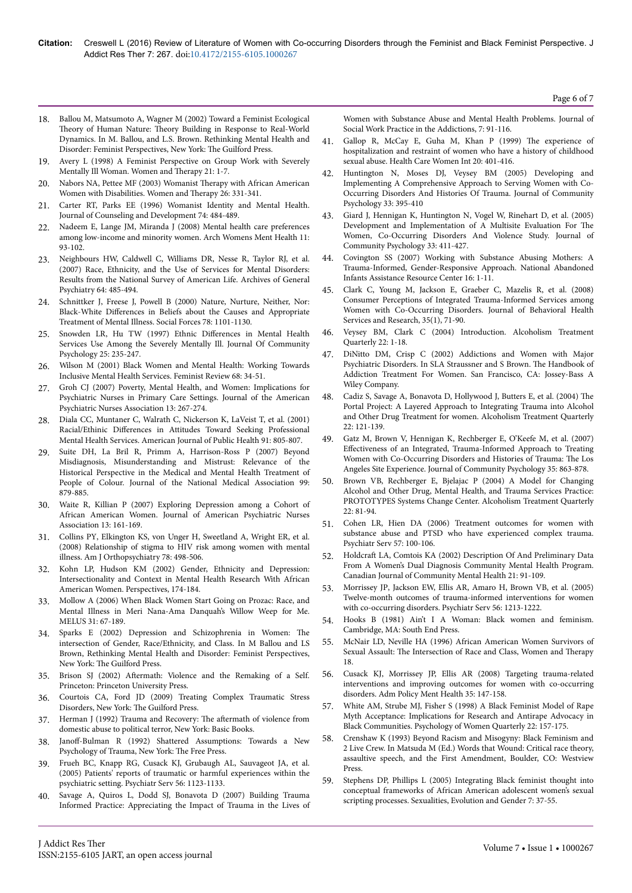- 18. Ballou M, Matsumoto A, Wagner M [\(2002\) Toward a Feminist Ecological](http://tcp.sagepub.com/content/36/3/446.abstract) Theory of Human Nature: Theory [Building in Response to Real-World](http://tcp.sagepub.com/content/36/3/446.abstract) [Dynamics. In M. Ballou, and L.S. Brown. Rethinking Mental Health and](http://tcp.sagepub.com/content/36/3/446.abstract) [Disorder: Feminist Perspectives, New York:](http://tcp.sagepub.com/content/36/3/446.abstract) Нe Guilford Press.
- 19. Avery L (1998) A Feminist Perspective on Group Work with Severely Mentally Ill Woman. Women and Therapy 21: 1-7.
- 20. Nabors NA, Pettee MF (2003) Womanist Therapy with African American Women with Disabilities. Women and Therapy 26: 331-341.
- 21. [Carter RT, Parks EE \(1996\) Womanist Identity and Mental Health.](http://eric.ed.gov/?id=EJ537287) [Journal of Counseling and Development 74: 484-489.](http://eric.ed.gov/?id=EJ537287)
- 22. [Nadeem E, Lange JM, Miranda J \(2008\) Mental health care preferences](http://www.ncbi.nlm.nih.gov/pubmed/18463940) [among low-income and minority women.](http://www.ncbi.nlm.nih.gov/pubmed/18463940) Arch Womens Ment Health 11: [93-102.](http://www.ncbi.nlm.nih.gov/pubmed/18463940)
- 23. Neighbours HW, Caldwell C, Williams DR, Nesse R, Taylor RJ, et al. (2007) Race, Ethnicity, and the Use of Services for Mental Disorders: Results from the National Survey of American Life. Archives of General Psychiatry 64: 485-494.
- 24. [Schnittker J, Freese J, Powell B \(2000\) Nature, Nurture, Neither, Nor:](http://www.jstor.org/stable/3005943) Black-White Differences [in Beliefs about the Causes and Appropriate](http://www.jstor.org/stable/3005943) [Treatment of Mental Illness. Social Forces 78: 1101-1130.](http://www.jstor.org/stable/3005943)
- 25. Snowden LR, Hu TW (1997) Ethnic Differences in Mental Health Services Use Among the Severely Mentally Ill. Journal Of Community Psychology 25: 235-247.
- 26. [Wilson M \(2001\) Black Women and Mental Health: Working Towards](http://www.palgrave-journals.com/fr/journal/v68/n1/abs/9496803a.html) [Inclusive Mental Health Services. Feminist Review 68: 34-51.](http://www.palgrave-journals.com/fr/journal/v68/n1/abs/9496803a.html)
- 27. [Groh CJ \(2007\) Poverty, Mental Health, and Women: Implications for](http://jap.sagepub.com/content/13/5/267.abstract) [Psychiatric Nurses in Primary Care Settings. Journal of the American](http://jap.sagepub.com/content/13/5/267.abstract) [Psychiatric Nurses Association 13: 267-274.](http://jap.sagepub.com/content/13/5/267.abstract)
- 28. [Diala CC, Muntaner C, Walrath C, Nickerson K, LaVeist T, et al. \(2001\)](http://www.ncbi.nlm.nih.gov/pubmed/11344893) Racial/Ethinic Differences [in Attitudes Toward Seeking Professional](http://www.ncbi.nlm.nih.gov/pubmed/11344893) [Mental Health Services. American Journal of Public Health 91: 805-807.](http://www.ncbi.nlm.nih.gov/pubmed/11344893)
- 29. [Suite DH, La Bril R, Primm A, Harrison-Ross P \(2007\) Beyond](http://www.ncbi.nlm.nih.gov/pmc/articles/PMC2574307/) [Misdiagnosis, Misunderstanding and Mistrust: Relevance of the](http://www.ncbi.nlm.nih.gov/pmc/articles/PMC2574307/) [Historical Perspective in the Medical and Mental Health Treatment of](http://www.ncbi.nlm.nih.gov/pmc/articles/PMC2574307/) [People of Colour. Journal of the National Medical Association 99:](http://www.ncbi.nlm.nih.gov/pmc/articles/PMC2574307/) [879-885.](http://www.ncbi.nlm.nih.gov/pmc/articles/PMC2574307/)
- 30. Waite R, Killian P (2007) Exploring Depression among a Cohort of African American Women. Journal of American Psychiatric Nurses Association 13: 161-169.
- 31. [Collins PY, Elkington KS, von Unger H, Sweetland A, Wright ER, et al.](http://www.ncbi.nlm.nih.gov/pubmed/19123772) [\(2008\) Relationship of stigma to HIV risk among women with mental](http://www.ncbi.nlm.nih.gov/pubmed/19123772) [illness. Am J Orthopsychiatry 78: 498-506.](http://www.ncbi.nlm.nih.gov/pubmed/19123772)
- 32. Kohn LP, Hudson KM (2002) Gender, Ethnicity and Depression: Intersectionality and Context in Mental Health Research With African American Women. Perspectives, 174-184.
- 33. [Mollow A \(2006\) When Black Women Start Going on Prozac: Race, and](http://www.jstor.org/stable/30029652) [Mental Illness in Meri Nana-Ama Danquah's Willow Weep for Me.](http://www.jstor.org/stable/30029652) [MELUS 31: 67-189.](http://www.jstor.org/stable/30029652)
- 34. Sparks E (2002) Depression and Schizophrenia in Women: Нe intersection of Gender, Race/Ethnicity, and Class. In M Ballou and LS Brown, Rethinking Mental Health and Disorder: Feminist Perspectives, New York: Нe Guilford Press.
- 35. Brison SJ (2002) Aftermath: [Violence and the Remaking of a Self.](https://en.wikipedia.org/wiki/Susan_Brison) [Princeton: Princeton University Press.](https://en.wikipedia.org/wiki/Susan_Brison)
- 36. [Courtois CA, Ford JD \(2009\) Treating Complex Traumatic Stress](http://www.guilford.com/books/Treating-Complex-Traumatic-Stress-Disorders-Adults/Courtois-Ford/9781462513390/reviews) [Disorders, New York:](http://www.guilford.com/books/Treating-Complex-Traumatic-Stress-Disorders-Adults/Courtois-Ford/9781462513390/reviews) Нe Guilford Press.
- 37. Herman J (1992) Trauma and Recovery: The aftermath of violence from domestic abuse to political terror, New York: Basic Books.
- 38. Janoff-Bulman R (1992) Shattered Assumptions: Towards a New Psychology of Trauma, New York: Нe Free Press.
- 39. [Frueh BC, Knapp RG, Cusack KJ, Grubaugh AL, Sauvageot JA, et al.](http://www.ncbi.nlm.nih.gov/pubmed/16148328) [\(2005\) Patients' reports of traumatic or harmful experiences within the](http://www.ncbi.nlm.nih.gov/pubmed/16148328) [psychiatric setting. Psychiatr Serv 56: 1123-1133.](http://www.ncbi.nlm.nih.gov/pubmed/16148328)
- 40. Savage A, Quiros L, Dodd SJ, Bonavota D (2007) Building Trauma Informed Practice: Appreciating the Impact of Trauma in the Lives of

Women with Substance Abuse and Mental Health Problems. Journal of Social Work Practice in the Addictions, 7: 91-116.

- 41. [Gallop R, McCay E, Guha M, Khan P \(1999\)](http://www.ncbi.nlm.nih.gov/pubmed/10745755) Нe experience of [hospitalization and restraint of women who have a history of childhood](http://www.ncbi.nlm.nih.gov/pubmed/10745755) [sexual abuse. Health Care Women Int 20: 401-416.](http://www.ncbi.nlm.nih.gov/pubmed/10745755)
- 42. Huntington N, Moses DJ, Veysey BM (2005) Developing and Implementing A Comprehensive Approach to Serving Women with Co-Occurring Disorders And Histories Of Trauma. Journal of Community Psychology 33: 395-410
- 43. Giard J, Hennigan K, Huntington N, Vogel W, Rinehart D, et al. (2005) Development and Implementation of A Multisite Evaluation For Нe Women, Co-Occurring Disorders And Violence Study. Journal of Community Psychology 33: 411-427.
- [Covington SS \(2007\) Working with Substance Abusing Mothers: A](http://www.centerforgenderandjustice.org/assets/files/Final%20Source%20article.pdf) [Trauma-Informed, Gender-Responsive Approach. National Abandoned](http://www.centerforgenderandjustice.org/assets/files/Final%20Source%20article.pdf) [Infants Assistance Resource Center 16: 1-11.](http://www.centerforgenderandjustice.org/assets/files/Final%20Source%20article.pdf)
- 45. Clark C, Young M, Jackson E, Graeber C, Mazelis R, et al. (2008) Consumer Perceptions of Integrated Trauma-Informed Services among Women with Co-Occurring Disorders. Journal of Behavioral Health Services and Research, 35(1), 71-90.
- 46. Veysey BM, Clark C (2004) Introduction. Alcoholism Treatment Quarterly 22: 1-18.
- 47. [DiNitto DM, Crisp C \(2002\) Addictions and Women with Major](http://stephaniecovington.com/assets/files/5.pdf) [Psychiatric Disorders. In SLA Straussner and S Brown.](http://stephaniecovington.com/assets/files/5.pdf) Нe Handbook of [Addiction Treatment For Women. San Francisco, CA: Jossey-Bass A](http://stephaniecovington.com/assets/files/5.pdf) [Wiley Company.](http://stephaniecovington.com/assets/files/5.pdf)
- 48. Cadiz S, Savage A, Bonavota D, Hollywood J, Butters E, et al. (2004) Нe Portal Project: A Layered Approach to Integrating Trauma into Alcohol and Other Drug Treatment for women. Alcoholism Treatment Quarterly  $22 \cdot 121 - 139$
- 49. Gatz M, Brown V, Hennigan K, Rechberger E, O'Keefe M, et al. (2007) Effectiveness of an Integrated, Trauma-Informed Approach to Treating Women with Co-Occurring Disorders and Histories of Trauma: Нe Los Angeles Site Experience. Journal of Community Psychology 35: 863-878.
- 50. [Brown VB, Rechberger E, Bjelajac P \(2004\) A Model for Changing](http://www.tandfonline.com/doi/abs/10.1300/J020v22n03_05) [Alcohol and Other Drug, Mental Health, and Trauma Services Practice:](http://www.tandfonline.com/doi/abs/10.1300/J020v22n03_05) [PROTOTYPES Systems Change Center. Alcoholism Treatment Quarterly](http://www.tandfonline.com/doi/abs/10.1300/J020v22n03_05) [22: 81-94.](http://www.tandfonline.com/doi/abs/10.1300/J020v22n03_05)
- 51. [Cohen LR, Hien DA \(2006\) Treatment outcomes for women with](http://www.ncbi.nlm.nih.gov/pubmed/16399969) [substance abuse and PTSD who have experienced complex trauma.](http://www.ncbi.nlm.nih.gov/pubmed/16399969) [Psychiatr Serv 57: 100-106.](http://www.ncbi.nlm.nih.gov/pubmed/16399969)
- Holdcraft [LA, Comtois KA \(2002\) Description Of And Preliminary Data](http://homelesshub.ca/resource/description-and-preliminary-data-womens-dual-diagnosis-community-mental-health-program) [From A Women's Dual Diagnosis Community Mental Health Program.](http://homelesshub.ca/resource/description-and-preliminary-data-womens-dual-diagnosis-community-mental-health-program) [Canadian Journal of Community Mental Health 21: 91-109.](http://homelesshub.ca/resource/description-and-preliminary-data-womens-dual-diagnosis-community-mental-health-program)
- 53. [Morrissey JP, Jackson EW, Ellis AR, Amaro H, Brown VB, et al. \(2005\)](http://www.ncbi.nlm.nih.gov/pubmed/16215186) [Twelve-month outcomes of trauma-informed interventions for women](http://www.ncbi.nlm.nih.gov/pubmed/16215186) [with co-occurring disorders. Psychiatr Serv 56: 1213-1222.](http://www.ncbi.nlm.nih.gov/pubmed/16215186)
- 54. [Hooks B \(1981\) Ain't I A Woman: Black women and feminism.](https://excoradfeminisms.files.wordpress.com/2010/03/bell_hooks-feminism_is_for_everybody.pdf) [Cambridge, MA: South End Press.](https://excoradfeminisms.files.wordpress.com/2010/03/bell_hooks-feminism_is_for_everybody.pdf)
- 55. McNair LD, Neville HA (1996) African American Women Survivors of Sexual Assault: The Intersection of Race and Class, Women and Therapy 18.
- 56. [Cusack KJ, Morrissey JP, Ellis AR \(2008\) Targeting trauma-related](http://www.ncbi.nlm.nih.gov/pubmed/17999175) [interventions and improving outcomes for women with co-occurring](http://www.ncbi.nlm.nih.gov/pubmed/17999175) [disorders. Adm Policy Ment Health 35: 147-158.](http://www.ncbi.nlm.nih.gov/pubmed/17999175)
- 57. [White AM, Strube MJ, Fisher S \(1998\) A Black Feminist Model of Rape](http://pwq.sagepub.com/content/22/2/157.abstract) [Myth Acceptance: Implications for Research and Antirape Advocacy in](http://pwq.sagepub.com/content/22/2/157.abstract) [Black Communities. Psychology of Women Quarterly 22: 157-175.](http://pwq.sagepub.com/content/22/2/157.abstract)
- 58. [Crenshaw K \(1993\) Beyond Racism and Misogyny: Black Feminism and](http://rre.sagepub.com/content/22/1/195.extract) [2 Live Crew. In Matsuda M \(Ed.\) Words that Wound: Critical race theory,](http://rre.sagepub.com/content/22/1/195.extract) [assaultive speech, and the First Amendment, Boulder, CO: Westview](http://rre.sagepub.com/content/22/1/195.extract) [Press.](http://rre.sagepub.com/content/22/1/195.extract)
- 59. [Stephens DP, Phillips L \(2005\) Integrating Black feminist thought into](http://www.tandfonline.com/doi/abs/10.1080/14616660500112725) [conceptual frameworks of African American adolescent women's sexual](http://www.tandfonline.com/doi/abs/10.1080/14616660500112725) [scripting processes. Sexualities, Evolution and Gender 7: 37-55.](http://www.tandfonline.com/doi/abs/10.1080/14616660500112725)